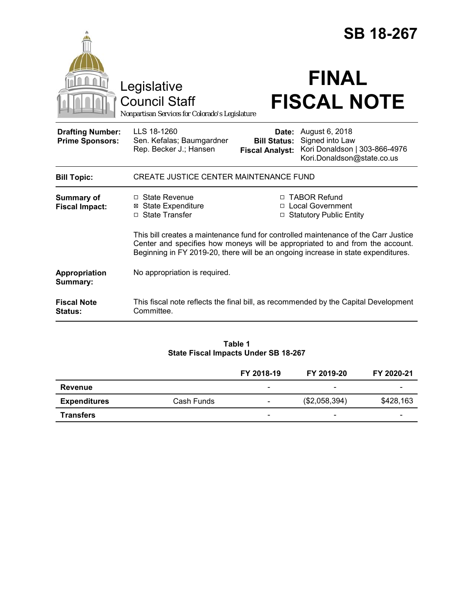|                                                   |                                                                                                                                                                                                                                                           | <b>SB 18-267</b>                                                  |                                                                                                               |  |  |
|---------------------------------------------------|-----------------------------------------------------------------------------------------------------------------------------------------------------------------------------------------------------------------------------------------------------------|-------------------------------------------------------------------|---------------------------------------------------------------------------------------------------------------|--|--|
|                                                   | Legislative<br><b>Council Staff</b><br>Nonpartisan Services for Colorado's Legislature                                                                                                                                                                    |                                                                   | <b>FINAL</b><br><b>FISCAL NOTE</b>                                                                            |  |  |
| <b>Drafting Number:</b><br><b>Prime Sponsors:</b> | LLS 18-1260<br>Sen. Kefalas; Baumgardner<br>Rep. Becker J.; Hansen                                                                                                                                                                                        | <b>Bill Status:</b><br><b>Fiscal Analyst:</b>                     | <b>Date:</b> August 6, 2018<br>Signed into Law<br>Kori Donaldson   303-866-4976<br>Kori.Donaldson@state.co.us |  |  |
| <b>Bill Topic:</b>                                | <b>CREATE JUSTICE CENTER MAINTENANCE FUND</b>                                                                                                                                                                                                             |                                                                   |                                                                                                               |  |  |
| <b>Summary of</b><br><b>Fiscal Impact:</b>        | □ State Revenue<br><b>State Expenditure</b><br>⊠<br>□ State Transfer                                                                                                                                                                                      | □ TABOR Refund<br>□ Local Government<br>□ Statutory Public Entity |                                                                                                               |  |  |
|                                                   | This bill creates a maintenance fund for controlled maintenance of the Carr Justice<br>Center and specifies how moneys will be appropriated to and from the account.<br>Beginning in FY 2019-20, there will be an ongoing increase in state expenditures. |                                                                   |                                                                                                               |  |  |
| Appropriation<br>Summary:                         | No appropriation is required.                                                                                                                                                                                                                             |                                                                   |                                                                                                               |  |  |
| <b>Fiscal Note</b><br><b>Status:</b>              | This fiscal note reflects the final bill, as recommended by the Capital Development<br>Committee.                                                                                                                                                         |                                                                   |                                                                                                               |  |  |

# **Table 1 State Fiscal Impacts Under SB 18-267**

|                     |            | FY 2018-19               | FY 2019-20               | FY 2020-21               |
|---------------------|------------|--------------------------|--------------------------|--------------------------|
| Revenue             |            | -                        | $\overline{\phantom{a}}$ | -                        |
| <b>Expenditures</b> | Cash Funds | -                        | (\$2,058,394)            | \$428,163                |
| <b>Transfers</b>    |            | $\overline{\phantom{0}}$ | $\overline{\phantom{a}}$ | $\overline{\phantom{0}}$ |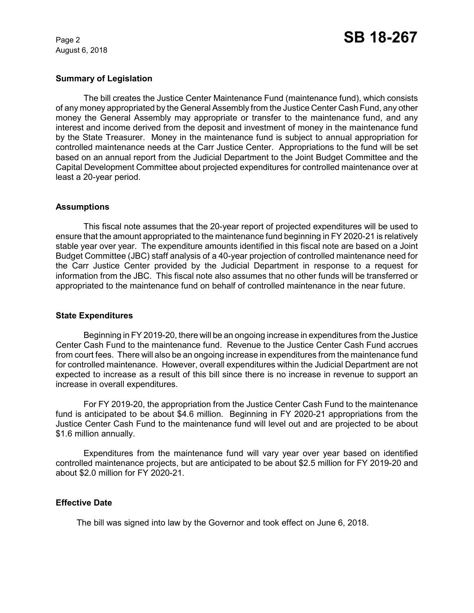August 6, 2018

# **Summary of Legislation**

The bill creates the Justice Center Maintenance Fund (maintenance fund), which consists of any money appropriated by the General Assembly from the Justice Center Cash Fund, any other money the General Assembly may appropriate or transfer to the maintenance fund, and any interest and income derived from the deposit and investment of money in the maintenance fund by the State Treasurer. Money in the maintenance fund is subject to annual appropriation for controlled maintenance needs at the Carr Justice Center. Appropriations to the fund will be set based on an annual report from the Judicial Department to the Joint Budget Committee and the Capital Development Committee about projected expenditures for controlled maintenance over at least a 20-year period.

#### **Assumptions**

This fiscal note assumes that the 20-year report of projected expenditures will be used to ensure that the amount appropriated to the maintenance fund beginning in FY 2020-21 is relatively stable year over year. The expenditure amounts identified in this fiscal note are based on a Joint Budget Committee (JBC) staff analysis of a 40-year projection of controlled maintenance need for the Carr Justice Center provided by the Judicial Department in response to a request for information from the JBC. This fiscal note also assumes that no other funds will be transferred or appropriated to the maintenance fund on behalf of controlled maintenance in the near future.

#### **State Expenditures**

Beginning in FY 2019-20, there will be an ongoing increase in expenditures from the Justice Center Cash Fund to the maintenance fund. Revenue to the Justice Center Cash Fund accrues from court fees. There will also be an ongoing increase in expenditures from the maintenance fund for controlled maintenance. However, overall expenditures within the Judicial Department are not expected to increase as a result of this bill since there is no increase in revenue to support an increase in overall expenditures.

For FY 2019-20, the appropriation from the Justice Center Cash Fund to the maintenance fund is anticipated to be about \$4.6 million. Beginning in FY 2020-21 appropriations from the Justice Center Cash Fund to the maintenance fund will level out and are projected to be about \$1.6 million annually.

Expenditures from the maintenance fund will vary year over year based on identified controlled maintenance projects, but are anticipated to be about \$2.5 million for FY 2019-20 and about \$2.0 million for FY 2020-21.

#### **Effective Date**

The bill was signed into law by the Governor and took effect on June 6, 2018.